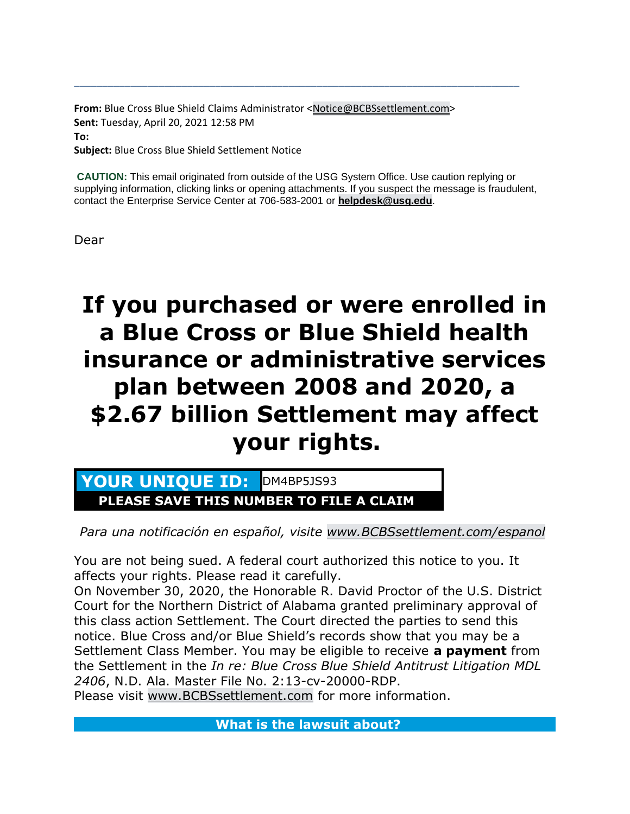**From:** Blue Cross Blue Shield Claims Administrator <Notice@BCBSsettlement.com> **Sent:** Tuesday, April 20, 2021 12:58 PM **To: Subject:** Blue Cross Blue Shield Settlement Notice

**CAUTION:** This email originated from outside of the USG System Office. Use caution replying or supplying information, clicking links or opening attachments. If you suspect the message is fraudulent, contact the Enterprise Service Center at 706-583-2001 or **helpdesk@usg.edu**.

\_\_\_\_\_\_\_\_\_\_\_\_\_\_\_\_\_\_\_\_\_\_\_\_\_\_\_\_\_\_\_\_\_\_\_\_\_\_\_\_\_\_\_\_\_\_\_\_\_\_\_\_\_\_\_\_\_\_\_\_\_\_\_\_\_\_\_\_\_\_\_\_\_\_\_\_\_\_\_

Dear

# **If you purchased or were enrolled in a Blue Cross or Blue Shield health insurance or administrative services plan between 2008 and 2020, a \$2.67 billion Settlement may affect your rights.**

YOUR UNIQUE ID: DM4BP5JS93 **PLEASE SAVE THIS NUMBER TO FILE A CLAIM**

*Para una notificación en español, visite www.BCBSsettlement.com/espanol*

You are not being sued. A federal court authorized this notice to you. It affects your rights. Please read it carefully.

On November 30, 2020, the Honorable R. David Proctor of the U.S. District Court for the Northern District of Alabama granted preliminary approval of this class action Settlement. The Court directed the parties to send this notice. Blue Cross and/or Blue Shield's records show that you may be a Settlement Class Member. You may be eligible to receive **a payment** from the Settlement in the *In re: Blue Cross Blue Shield Antitrust Litigation MDL 2406*, N.D. Ala. Master File No. 2:13-cv-20000-RDP.

Please visit www.BCBSsettlement.com for more information.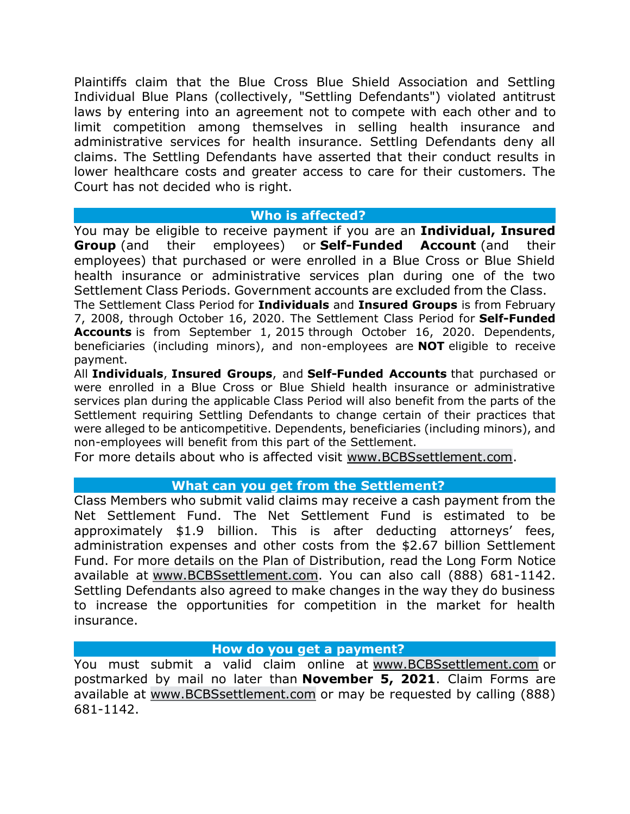Plaintiffs claim that the Blue Cross Blue Shield Association and Settling Individual Blue Plans (collectively, "Settling Defendants") violated antitrust laws by entering into an agreement not to compete with each other and to limit competition among themselves in selling health insurance and administrative services for health insurance. Settling Defendants deny all claims. The Settling Defendants have asserted that their conduct results in lower healthcare costs and greater access to care for their customers. The Court has not decided who is right.

### **Who is affected?**

You may be eligible to receive payment if you are an **Individual, Insured Group** (and their employees) or **Self-Funded Account** (and their employees) that purchased or were enrolled in a Blue Cross or Blue Shield health insurance or administrative services plan during one of the two Settlement Class Periods. Government accounts are excluded from the Class.

The Settlement Class Period for **Individuals** and **Insured Groups** is from February 7, 2008, through October 16, 2020. The Settlement Class Period for **Self-Funded Accounts** is from September 1, 2015 through October 16, 2020. Dependents, beneficiaries (including minors), and non-employees are **NOT** eligible to receive payment.

All **Individuals**, **Insured Groups**, and **Self-Funded Accounts** that purchased or were enrolled in a Blue Cross or Blue Shield health insurance or administrative services plan during the applicable Class Period will also benefit from the parts of the Settlement requiring Settling Defendants to change certain of their practices that were alleged to be anticompetitive. Dependents, beneficiaries (including minors), and non-employees will benefit from this part of the Settlement.

For more details about who is affected visit www.BCBSsettlement.com.

## **What can you get from the Settlement?**

Class Members who submit valid claims may receive a cash payment from the Net Settlement Fund. The Net Settlement Fund is estimated to be approximately \$1.9 billion. This is after deducting attorneys' fees, administration expenses and other costs from the \$2.67 billion Settlement Fund. For more details on the Plan of Distribution, read the Long Form Notice available at www.BCBSsettlement.com. You can also call (888) 681-1142. Settling Defendants also agreed to make changes in the way they do business to increase the opportunities for competition in the market for health insurance.

#### **How do you get a payment?**

You must submit a valid claim online at www.BCBSsettlement.com or postmarked by mail no later than **November 5, 2021**. Claim Forms are available at www.BCBSsettlement.com or may be requested by calling (888) 681-1142.